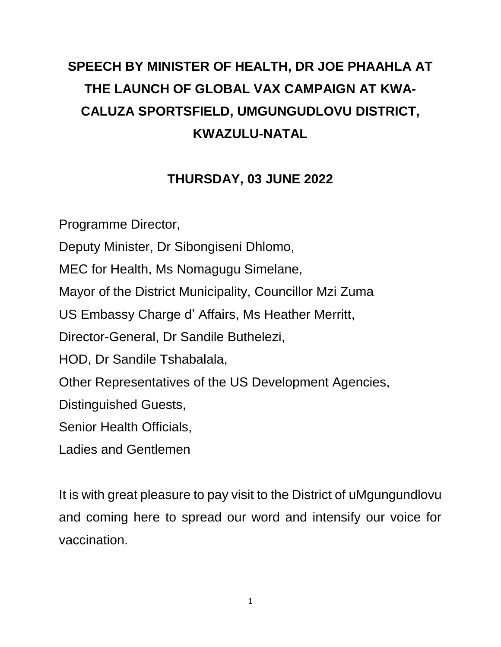## **SPEECH BY MINISTER OF HEALTH, DR JOE PHAAHLA AT THE LAUNCH OF GLOBAL VAX CAMPAIGN AT KWA-CALUZA SPORTSFIELD, UMGUNGUDLOVU DISTRICT, KWAZULU-NATAL**

## **THURSDAY, 03 JUNE 2022**

Programme Director, Deputy Minister, Dr Sibongiseni Dhlomo, MEC for Health, Ms Nomagugu Simelane, Mayor of the District Municipality, Councillor Mzi Zuma US Embassy Charge d' Affairs, Ms Heather Merritt, Director-General, Dr Sandile Buthelezi, HOD, Dr Sandile Tshabalala, Other Representatives of the US Development Agencies, Distinguished Guests, Senior Health Officials, Ladies and Gentlemen

It is with great pleasure to pay visit to the District of uMgungundlovu and coming here to spread our word and intensify our voice for vaccination.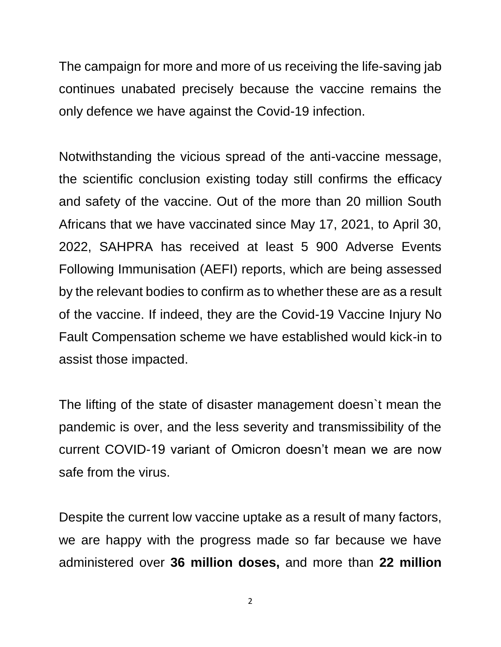The campaign for more and more of us receiving the life-saving jab continues unabated precisely because the vaccine remains the only defence we have against the Covid-19 infection.

Notwithstanding the vicious spread of the anti-vaccine message, the scientific conclusion existing today still confirms the efficacy and safety of the vaccine. Out of the more than 20 million South Africans that we have vaccinated since May 17, 2021, to April 30, 2022, SAHPRA has received at least 5 900 Adverse Events Following Immunisation (AEFI) reports, which are being assessed by the relevant bodies to confirm as to whether these are as a result of the vaccine. If indeed, they are the Covid-19 Vaccine Injury No Fault Compensation scheme we have established would kick-in to assist those impacted.

The lifting of the state of disaster management doesn`t mean the pandemic is over, and the less severity and transmissibility of the current COVID-19 variant of Omicron doesn't mean we are now safe from the virus.

Despite the current low vaccine uptake as a result of many factors, we are happy with the progress made so far because we have administered over **36 million doses,** and more than **22 million**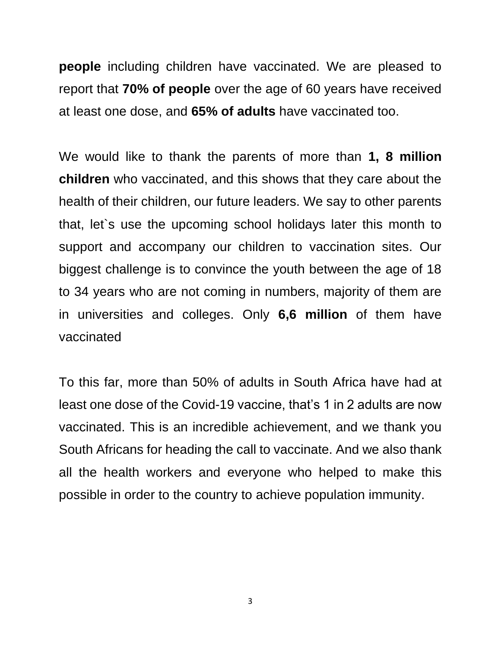**people** including children have vaccinated. We are pleased to report that **70% of people** over the age of 60 years have received at least one dose, and **65% of adults** have vaccinated too.

We would like to thank the parents of more than **1, 8 million children** who vaccinated, and this shows that they care about the health of their children, our future leaders. We say to other parents that, let`s use the upcoming school holidays later this month to support and accompany our children to vaccination sites. Our biggest challenge is to convince the youth between the age of 18 to 34 years who are not coming in numbers, majority of them are in universities and colleges. Only **6,6 million** of them have vaccinated

To this far, more than 50% of adults in South Africa have had at least one dose of the Covid-19 vaccine, that's 1 in 2 adults are now vaccinated. This is an incredible achievement, and we thank you South Africans for heading the call to vaccinate. And we also thank all the health workers and everyone who helped to make this possible in order to the country to achieve population immunity.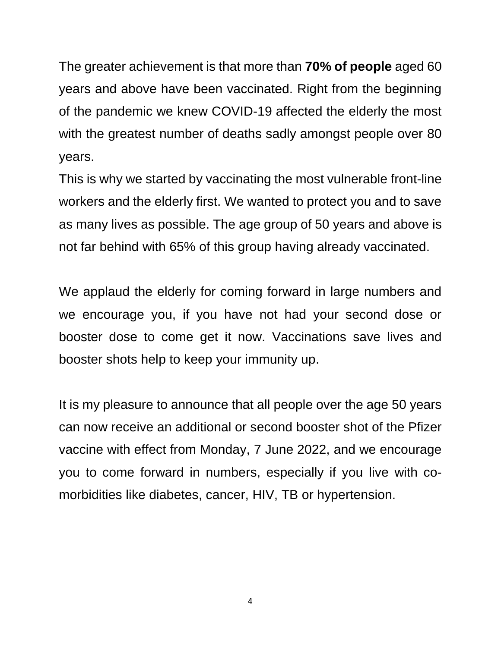The greater achievement is that more than **70% of people** aged 60 years and above have been vaccinated. Right from the beginning of the pandemic we knew COVID-19 affected the elderly the most with the greatest number of deaths sadly amongst people over 80 years.

This is why we started by vaccinating the most vulnerable front-line workers and the elderly first. We wanted to protect you and to save as many lives as possible. The age group of 50 years and above is not far behind with 65% of this group having already vaccinated.

We applaud the elderly for coming forward in large numbers and we encourage you, if you have not had your second dose or booster dose to come get it now. Vaccinations save lives and booster shots help to keep your immunity up.

It is my pleasure to announce that all people over the age 50 years can now receive an additional or second booster shot of the Pfizer vaccine with effect from Monday, 7 June 2022, and we encourage you to come forward in numbers, especially if you live with comorbidities like diabetes, cancer, HIV, TB or hypertension.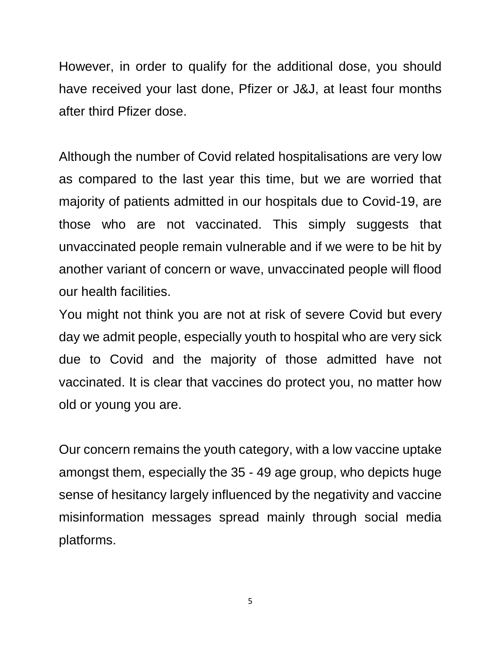However, in order to qualify for the additional dose, you should have received your last done, Pfizer or J&J, at least four months after third Pfizer dose.

Although the number of Covid related hospitalisations are very low as compared to the last year this time, but we are worried that majority of patients admitted in our hospitals due to Covid-19, are those who are not vaccinated. This simply suggests that unvaccinated people remain vulnerable and if we were to be hit by another variant of concern or wave, unvaccinated people will flood our health facilities.

You might not think you are not at risk of severe Covid but every day we admit people, especially youth to hospital who are very sick due to Covid and the majority of those admitted have not vaccinated. It is clear that vaccines do protect you, no matter how old or young you are.

Our concern remains the youth category, with a low vaccine uptake amongst them, especially the 35 - 49 age group, who depicts huge sense of hesitancy largely influenced by the negativity and vaccine misinformation messages spread mainly through social media platforms.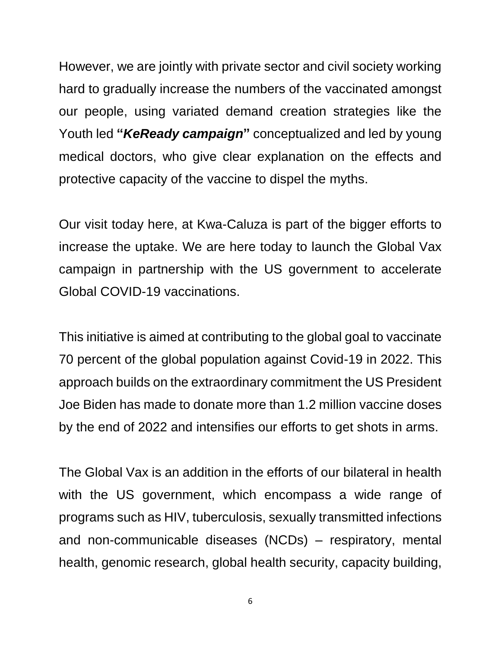However, we are jointly with private sector and civil society working hard to gradually increase the numbers of the vaccinated amongst our people, using variated demand creation strategies like the Youth led **"***KeReady campaign***"** conceptualized and led by young medical doctors, who give clear explanation on the effects and protective capacity of the vaccine to dispel the myths.

Our visit today here, at Kwa-Caluza is part of the bigger efforts to increase the uptake. We are here today to launch the Global Vax campaign in partnership with the US government to accelerate Global COVID-19 vaccinations.

This initiative is aimed at contributing to the global goal to vaccinate 70 percent of the global population against Covid-19 in 2022. This approach builds on the extraordinary commitment the US President Joe Biden has made to donate more than 1.2 million vaccine doses by the end of 2022 and intensifies our efforts to get shots in arms.

The Global Vax is an addition in the efforts of our bilateral in health with the US government, which encompass a wide range of programs such as HIV, tuberculosis, sexually transmitted infections and non-communicable diseases (NCDs) – respiratory, mental health, genomic research, global health security, capacity building,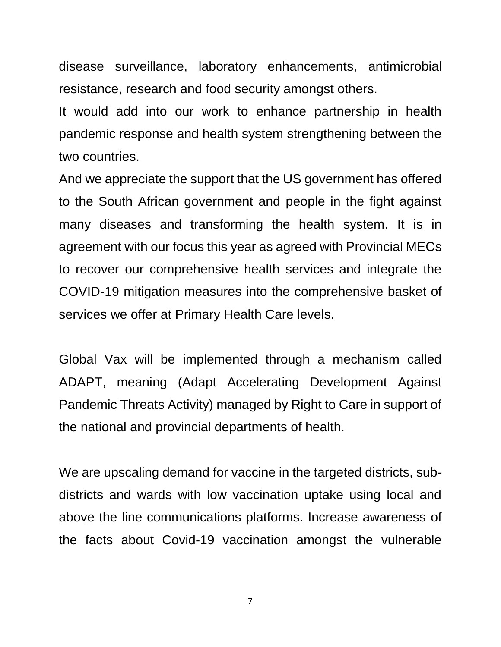disease surveillance, laboratory enhancements, antimicrobial resistance, research and food security amongst others.

It would add into our work to enhance partnership in health pandemic response and health system strengthening between the two countries.

And we appreciate the support that the US government has offered to the South African government and people in the fight against many diseases and transforming the health system. It is in agreement with our focus this year as agreed with Provincial MECs to recover our comprehensive health services and integrate the COVID-19 mitigation measures into the comprehensive basket of services we offer at Primary Health Care levels.

Global Vax will be implemented through a mechanism called ADAPT, meaning (Adapt Accelerating Development Against Pandemic Threats Activity) managed by Right to Care in support of the national and provincial departments of health.

We are upscaling demand for vaccine in the targeted districts, subdistricts and wards with low vaccination uptake using local and above the line communications platforms. Increase awareness of the facts about Covid-19 vaccination amongst the vulnerable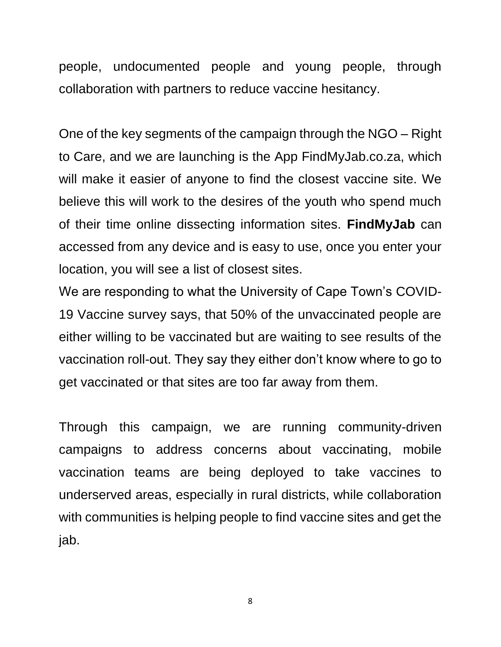people, undocumented people and young people, through collaboration with partners to reduce vaccine hesitancy.

One of the key segments of the campaign through the NGO – Right to Care, and we are launching is the App FindMyJab.co.za, which will make it easier of anyone to find the closest vaccine site. We believe this will work to the desires of the youth who spend much of their time online dissecting information sites. **FindMyJab** can accessed from any device and is easy to use, once you enter your location, you will see a list of closest sites.

We are responding to what the University of Cape Town's COVID-19 Vaccine survey says, that 50% of the unvaccinated people are either willing to be vaccinated but are waiting to see results of the vaccination roll-out. They say they either don't know where to go to get vaccinated or that sites are too far away from them.

Through this campaign, we are running community-driven campaigns to address concerns about vaccinating, mobile vaccination teams are being deployed to take vaccines to underserved areas, especially in rural districts, while collaboration with communities is helping people to find vaccine sites and get the jab.